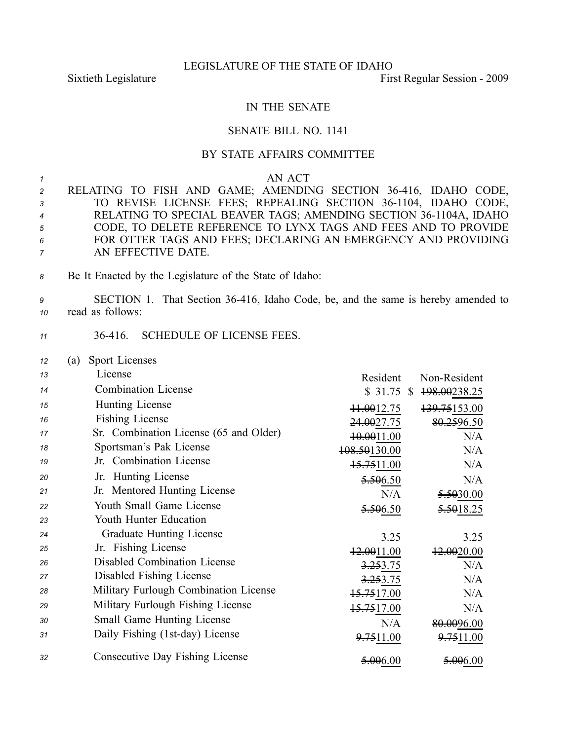## LEGISLATURE OF THE STATE OF IDAHO

Sixtieth Legislature First Regular Session - 2009

## IN THE SENATE

## SENATE BILL NO. 1141

## BY STATE AFFAIRS COMMITTEE

*1* AN ACT

|                                  | 2 RELATING TO FISH AND GAME; AMENDING SECTION 36-416, IDAHO CODE, |
|----------------------------------|-------------------------------------------------------------------|
| $3^{\circ}$                      | TO REVISE LICENSE FEES; REPEALING SECTION 36-1104, IDAHO CODE,    |
| $\overline{4}$                   | RELATING TO SPECIAL BEAVER TAGS; AMENDING SECTION 36-1104A, IDAHO |
| 5                                | CODE, TO DELETE REFERENCE TO LYNX TAGS AND FEES AND TO PROVIDE    |
| 6                                | FOR OTTER TAGS AND FEES; DECLARING AN EMERGENCY AND PROVIDING     |
| $7 \quad \overline{\phantom{1}}$ | AN EFFECTIVE DATE.                                                |

*<sup>8</sup>* Be It Enacted by the Legislature of the State of Idaho:

*<sup>9</sup>* SECTION 1. That Section 36416, Idaho Code, be, and the same is hereby amended to *<sup>10</sup>* read as follows:

- *<sup>11</sup>* 36416. SCHEDULE OF LICENSE FEES.
- *<sup>12</sup>* (a) Sport Licenses

| 13 | License                                | Resident               | Non-Resident           |
|----|----------------------------------------|------------------------|------------------------|
| 14 | <b>Combination License</b>             | $$31.75$ \$            | 198.00238.25           |
| 15 | Hunting License                        | ++.0012.75             | 139.75153.00           |
| 16 | Fishing License                        | <del>24.00</del> 27.75 | 80.2596.50             |
| 17 | Sr. Combination License (65 and Older) | <del>10.00</del> 11.00 | N/A                    |
| 18 | Sportsman's Pak License                | 108.50130.00           | N/A                    |
| 19 | Jr. Combination License                | 15.7511.00             | N/A                    |
| 20 | Jr. Hunting License                    | 5.506.50               | N/A                    |
| 21 | Jr. Mentored Hunting License           | N/A                    | <del>5.50</del> 30.00  |
| 22 | Youth Small Game License               | 5.506.50               | <del>5.50</del> 18.25  |
| 23 | Youth Hunter Education                 |                        |                        |
| 24 | <b>Graduate Hunting License</b>        | 3.25                   | 3.25                   |
| 25 | Jr. Fishing License                    | 12.0011.00             | <del>12.00</del> 20.00 |
| 26 | Disabled Combination License           | 3.253.75               | N/A                    |
| 27 | Disabled Fishing License               | 3.253.75               | N/A                    |
| 28 | Military Furlough Combination License  | <del>15.75</del> 17.00 | N/A                    |
| 29 | Military Furlough Fishing License      | 15.7517.00             | N/A                    |
| 30 | <b>Small Game Hunting License</b>      | N/A                    | 80.0096.00             |
| 31 | Daily Fishing (1st-day) License        | 9.7511.00              | 9.7511.00              |
| 32 | <b>Consecutive Day Fishing License</b> | <del>5.00</del> 6.00   | 5.006.00               |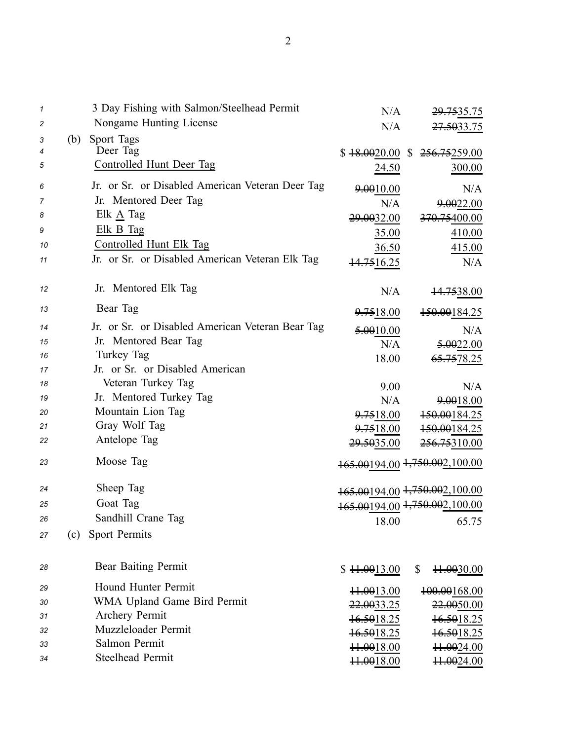| 1  |     | 3 Day Fishing with Salmon/Steelhead Permit       | N/A                    | <del>29.75</del> 35.75        |
|----|-----|--------------------------------------------------|------------------------|-------------------------------|
| 2  |     | Nongame Hunting License                          | N/A                    | 27.5033.75                    |
| 3  | (b) | Sport Tags                                       |                        |                               |
| 4  |     | Deer Tag                                         | \$18.0020.00           | 256.75259.00<br>$\mathbb{S}$  |
| 5  |     | Controlled Hunt Deer Tag                         | 24.50                  | 300.00                        |
| 6  |     | Jr. or Sr. or Disabled American Veteran Deer Tag | 9.0010.00              | N/A                           |
| 7  |     | Jr. Mentored Deer Tag                            | N/A                    | 9.0022.00                     |
| 8  |     | Elk A Tag                                        | 29.0032.00             | <del>370.75</del> 400.00      |
| 9  |     | Elk B Tag                                        | 35.00                  | 410.00                        |
| 10 |     | Controlled Hunt Elk Tag                          | 36.50                  | 415.00                        |
| 11 |     | Jr. or Sr. or Disabled American Veteran Elk Tag  | 14.7516.25             | N/A                           |
| 12 |     | Jr. Mentored Elk Tag                             | N/A                    | <del>14.75</del> 38.00        |
|    |     | Bear Tag                                         |                        |                               |
| 13 |     |                                                  | 9.7518.00              | 150.00184.25                  |
| 14 |     | Jr. or Sr. or Disabled American Veteran Bear Tag | 5.0010.00              | N/A                           |
| 15 |     | Jr. Mentored Bear Tag                            | N/A                    | 5.0022.00                     |
| 16 |     | Turkey Tag                                       | 18.00                  | <del>65.75</del> 78.25        |
| 17 |     | Jr. or Sr. or Disabled American                  |                        |                               |
| 18 |     | Veteran Turkey Tag                               | 9.00                   | N/A                           |
| 19 |     | Jr. Mentored Turkey Tag                          | N/A                    | 9.0018.00                     |
| 20 |     | Mountain Lion Tag                                | 9.7518.00              | 150.00184.25                  |
| 21 |     | Gray Wolf Tag                                    | 9.7518.00              | 150.00184.25                  |
| 22 |     | Antelope Tag                                     | 29.5035.00             | <del>256.75</del> 310.00      |
| 23 |     | Moose Tag                                        |                        | 165.00194.00 1,750.002,100.00 |
| 24 |     | Sheep Tag                                        |                        | 165.00194.00 1,750.002,100.00 |
| 25 |     | Goat Tag                                         |                        | 165.00194.00 1,750.002,100.00 |
| 26 |     | Sandhill Crane Tag                               | 18.00                  | 65.75                         |
| 27 | (c) | Sport Permits                                    |                        |                               |
| 28 |     | Bear Baiting Permit                              | \$11.0013.00           | \$<br>11.0030.00              |
|    |     |                                                  |                        |                               |
| 29 |     | Hound Hunter Permit                              | <del>11.00</del> 13.00 | <del>100.00</del> 168.00      |
| 30 |     | WMA Upland Game Bird Permit                      | 22.0033.25             | <del>22.00</del> 50.00        |
| 31 |     | Archery Permit<br>Muzzleloader Permit            | 16.5018.25             | 16.5018.25                    |
| 32 |     | Salmon Permit                                    | 16.5018.25             | 16.5018.25                    |
| 33 |     | <b>Steelhead Permit</b>                          | <del>11.00</del> 18.00 | 11.0024.00                    |
| 34 |     |                                                  | 11.0018.00             | <del>11.00</del> 24.00        |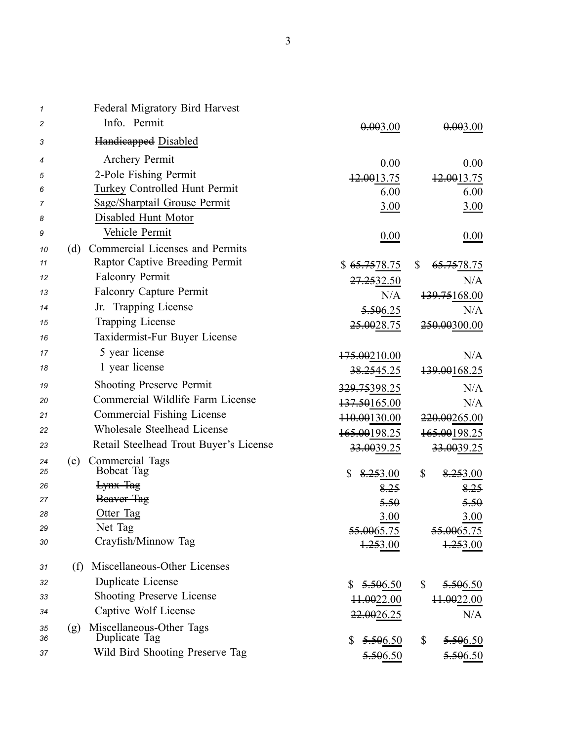| 1        | <b>Federal Migratory Bird Harvest</b>            |                           |                              |
|----------|--------------------------------------------------|---------------------------|------------------------------|
| 2        | Info. Permit                                     | 0.003.00                  | 0.003.00                     |
| 3        | <b>Handieapped Disabled</b>                      |                           |                              |
| 4        | Archery Permit                                   | 0.00                      | 0.00                         |
| 5        | 2-Pole Fishing Permit                            | 12.0013.75                | 12.0013.75                   |
| 6        | Turkey Controlled Hunt Permit                    | 6.00                      | 6.00                         |
| 7        | Sage/Sharptail Grouse Permit                     | 3.00                      | 3.00                         |
| 8        | Disabled Hunt Motor                              |                           |                              |
| 9        | Vehicle Permit                                   | 0.00                      | 0.00                         |
| 10       | Commercial Licenses and Permits<br>(d)           |                           |                              |
| 11       | Raptor Captive Breeding Permit                   | \$ <del>65.75</del> 78.75 | \$<br><del>65.75</del> 78.75 |
| 12       | <b>Falconry Permit</b>                           | <del>27.25</del> 32.50    | N/A                          |
| 13       | <b>Falconry Capture Permit</b>                   | N/A                       | 139.75168.00                 |
| 14       | Jr. Trapping License                             | 5.506.25                  | N/A                          |
| 15       | Trapping License                                 | 25.0028.75                | <del>250.00</del> 300.00     |
| 16       | Taxidermist-Fur Buyer License                    |                           |                              |
| 17       | 5 year license                                   | <del>175.00</del> 210.00  | N/A                          |
| 18       | 1 year license                                   | <del>38.25</del> 45.25    | 139.00168.25                 |
| 19       | <b>Shooting Preserve Permit</b>                  | 329.75398.25              | N/A                          |
| 20       | Commercial Wildlife Farm License                 | 137.50165.00              | N/A                          |
| 21       | Commercial Fishing License                       | 110.00130.00              | 220.00265.00                 |
| 22       | Wholesale Steelhead License                      | 165.00198.25              | 165.00198.25                 |
| 23       | Retail Steelhead Trout Buyer's License           | <del>33.00</del> 39.25    | 33.0039.25                   |
| 24       | Commercial Tags<br>(e)                           |                           |                              |
| 25       | <b>Bobcat Tag</b>                                | \$<br>8.253.00            | \$<br>8.253.00               |
| 26       | Lynx Tag                                         | 8.25                      | <del>8.25</del>              |
| 27       | Beaver Tag                                       | 5.50                      | 5.50                         |
| 28       | Otter Tag<br>Net Tag                             | 3.00                      | 3.00                         |
| 29<br>30 | Crayfish/Minnow Tag                              | <del>55.00</del> 65.75    | 55.0065.75                   |
|          |                                                  | <del>1.25</del> 3.00      | 1.253.00                     |
| 31       | Miscellaneous-Other Licenses<br>(f)              |                           |                              |
| 32       | Duplicate License                                | 5.506.50<br>\$            | \$<br>5.506.50               |
| 33       | <b>Shooting Preserve License</b>                 | ++.0022.00                | <del>11.00</del> 22.00       |
| 34       | Captive Wolf License                             | 22.0026.25                | N/A                          |
| 35<br>36 | Miscellaneous-Other Tags<br>(g)<br>Duplicate Tag | \$<br>5.506.50            | \$<br>5.506.50               |
| 37       | Wild Bird Shooting Preserve Tag                  | 5.506.50                  | 5.506.50                     |